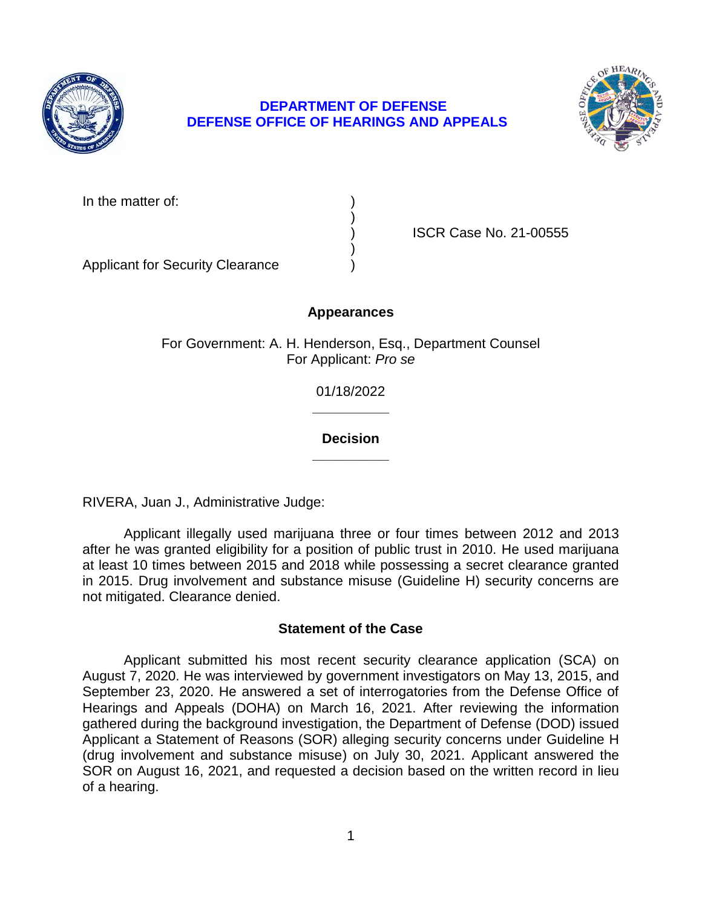

# **DEPARTMENT OF DEFENSE DEFENSE OFFICE OF HEARINGS AND APPEALS**



In the matter of:

) ISCR Case No. 21-00555

Applicant for Security Clearance )

# **Appearances**

)

)

For Government: A. H. Henderson, Esq., Department Counsel For Applicant: *Pro se* 

> **\_\_\_\_\_\_\_\_\_\_**  01/18/2022

## **\_\_\_\_\_\_\_\_\_\_ Decision**

RIVERA, Juan J., Administrative Judge:

 after he was granted eligibility for a position of public trust in 2010. He used marijuana at least 10 times between 2015 and 2018 while possessing a secret clearance granted in 2015. Drug involvement and substance misuse (Guideline H) security concerns are Applicant illegally used marijuana three or four times between 2012 and 2013 not mitigated. Clearance denied.

## **Statement of the Case**

 Applicant submitted his most recent security clearance application (SCA) on August 7, 2020. He was interviewed by government investigators on May 13, 2015, and September 23, 2020. He answered a set of interrogatories from the Defense Office of gathered during the background investigation, the Department of Defense (DOD) issued Applicant a Statement of Reasons (SOR) alleging security concerns under Guideline H (drug involvement and substance misuse) on July 30, 2021. Applicant answered the SOR on August 16, 2021, and requested a decision based on the written record in lieu Hearings and Appeals (DOHA) on March 16, 2021. After reviewing the information of a hearing.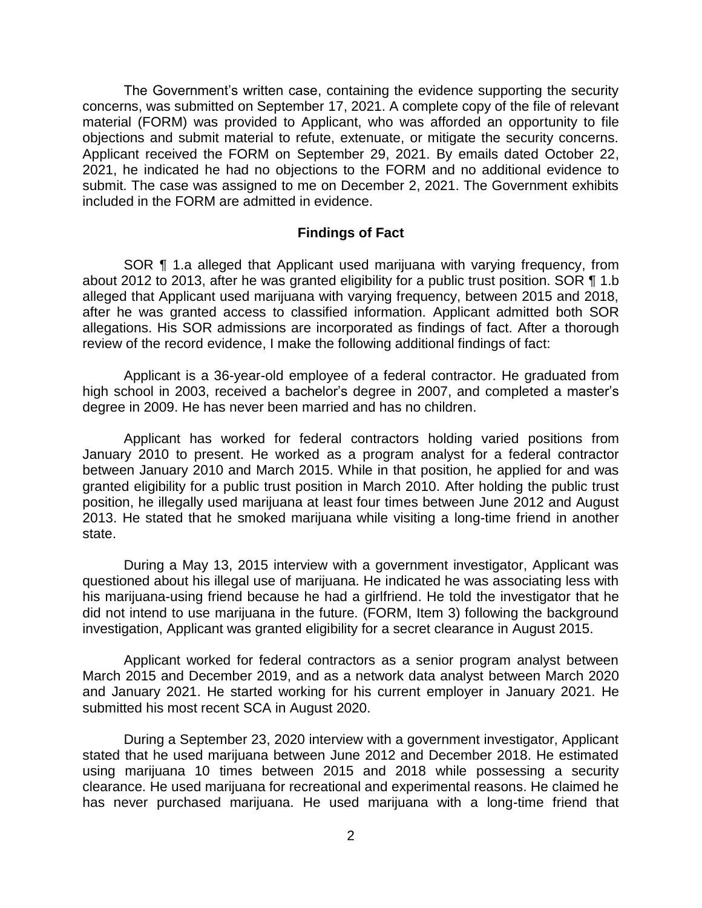The Government's written case, containing the evidence supporting the security material (FORM) was provided to Applicant, who was afforded an opportunity to file objections and submit material to refute, extenuate, or mitigate the security concerns. Applicant received the FORM on September 29, 2021. By emails dated October 22, 2021, he indicated he had no objections to the FORM and no additional evidence to submit. The case was assigned to me on December 2, 2021. The Government exhibits concerns, was submitted on September 17, 2021. A complete copy of the file of relevant included in the FORM are admitted in evidence.

#### **Findings of Fact**

 SOR ¶ 1.a alleged that Applicant used marijuana with varying frequency, from about 2012 to 2013, after he was granted eligibility for a public trust position. SOR ¶ 1.b alleged that Applicant used marijuana with varying frequency, between 2015 and 2018, after he was granted access to classified information. Applicant admitted both SOR review of the record evidence, I make the following additional findings of fact: allegations. His SOR admissions are incorporated as findings of fact. After a thorough

 Applicant is a 36-year-old employee of a federal contractor. He graduated from high school in 2003, received a bachelor's degree in 2007, and completed a master's degree in 2009. He has never been married and has no children.

 Applicant has worked for federal contractors holding varied positions from January 2010 to present. He worked as a program analyst for a federal contractor between January 2010 and March 2015. While in that position, he applied for and was granted eligibility for a public trust position in March 2010. After holding the public trust position, he illegally used marijuana at least four times between June 2012 and August 2013. He stated that he smoked marijuana while visiting a long-time friend in another state.

 During a May 13, 2015 interview with a government investigator, Applicant was questioned about his illegal use of marijuana. He indicated he was associating less with his marijuana-using friend because he had a girlfriend. He told the investigator that he did not intend to use marijuana in the future. (FORM, Item 3) following the background investigation, Applicant was granted eligibility for a secret clearance in August 2015.

 March 2015 and December 2019, and as a network data analyst between March 2020 and January 2021. He started working for his current employer in January 2021. He Applicant worked for federal contractors as a senior program analyst between submitted his most recent SCA in August 2020.

 During a September 23, 2020 interview with a government investigator, Applicant stated that he used marijuana between June 2012 and December 2018. He estimated using marijuana 10 times between 2015 and 2018 while possessing a security has never purchased marijuana. He used marijuana with a long-time friend that clearance. He used marijuana for recreational and experimental reasons. He claimed he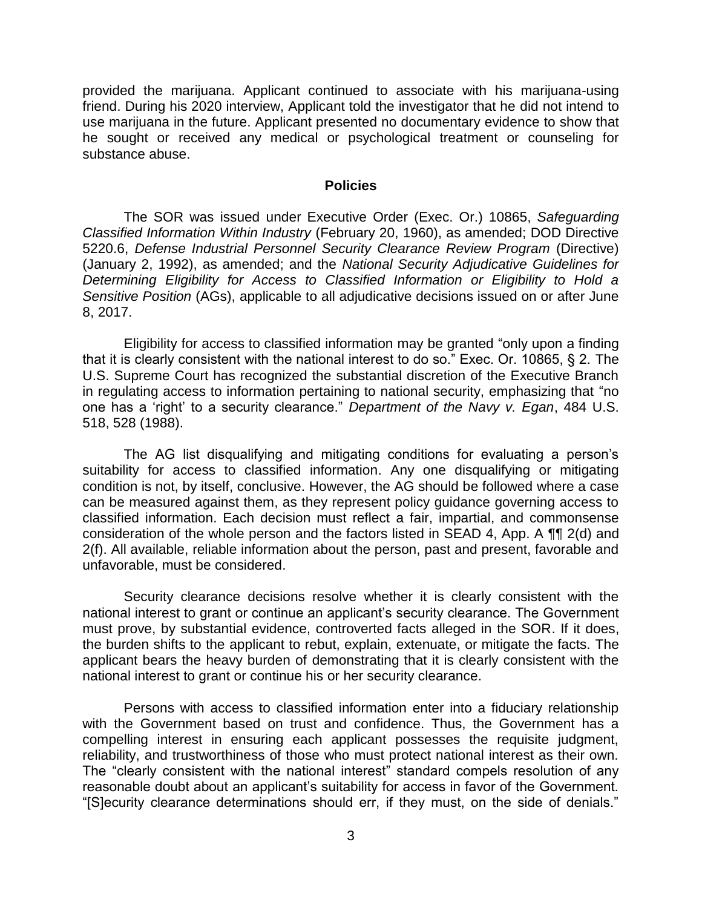provided the marijuana. Applicant continued to associate with his marijuana-using friend. During his 2020 interview, Applicant told the investigator that he did not intend to use marijuana in the future. Applicant presented no documentary evidence to show that he sought or received any medical or psychological treatment or counseling for substance abuse.

#### **Policies**

 The SOR was issued under Executive Order (Exec. Or.) 10865, *Safeguarding Classified Information Within Industry* (February 20, 1960), as amended; DOD Directive 5220.6, *Defense Industrial Personnel Security Clearance Review Program* (Directive) (January 2, 1992), as amended; and the *National Security Adjudicative Guidelines for Determining Eligibility for Access to Classified Information or Eligibility to Hold a Sensitive Position* (AGs), applicable to all adjudicative decisions issued on or after June 8, 2017.

Eligibility for access to classified information may be granted "only upon a finding that it is clearly consistent with the national interest to do so." Exec. Or. 10865, § 2. The U.S. Supreme Court has recognized the substantial discretion of the Executive Branch in regulating access to information pertaining to national security, emphasizing that "no one has a 'right' to a security clearance." *Department of the Navy v. Egan*, 484 U.S. 518, 528 (1988).

 The AG list disqualifying and mitigating conditions for evaluating a person's suitability for access to classified information. Any one disqualifying or mitigating condition is not, by itself, conclusive. However, the AG should be followed where a case can be measured against them, as they represent policy guidance governing access to classified information. Each decision must reflect a fair, impartial, and commonsense consideration of the whole person and the factors listed in SEAD 4, App. A ¶¶ 2(d) and 2(f). All available, reliable information about the person, past and present, favorable and unfavorable, must be considered.

 Security clearance decisions resolve whether it is clearly consistent with the national interest to grant or continue an applicant's security clearance. The Government must prove, by substantial evidence, controverted facts alleged in the SOR. If it does, the burden shifts to the applicant to rebut, explain, extenuate, or mitigate the facts. The applicant bears the heavy burden of demonstrating that it is clearly consistent with the national interest to grant or continue his or her security clearance.

 Persons with access to classified information enter into a fiduciary relationship with the Government based on trust and confidence. Thus, the Government has a compelling interest in ensuring each applicant possesses the requisite judgment, reliability, and trustworthiness of those who must protect national interest as their own. The "clearly consistent with the national interest" standard compels resolution of any reasonable doubt about an applicant's suitability for access in favor of the Government. "[S]ecurity clearance determinations should err, if they must, on the side of denials."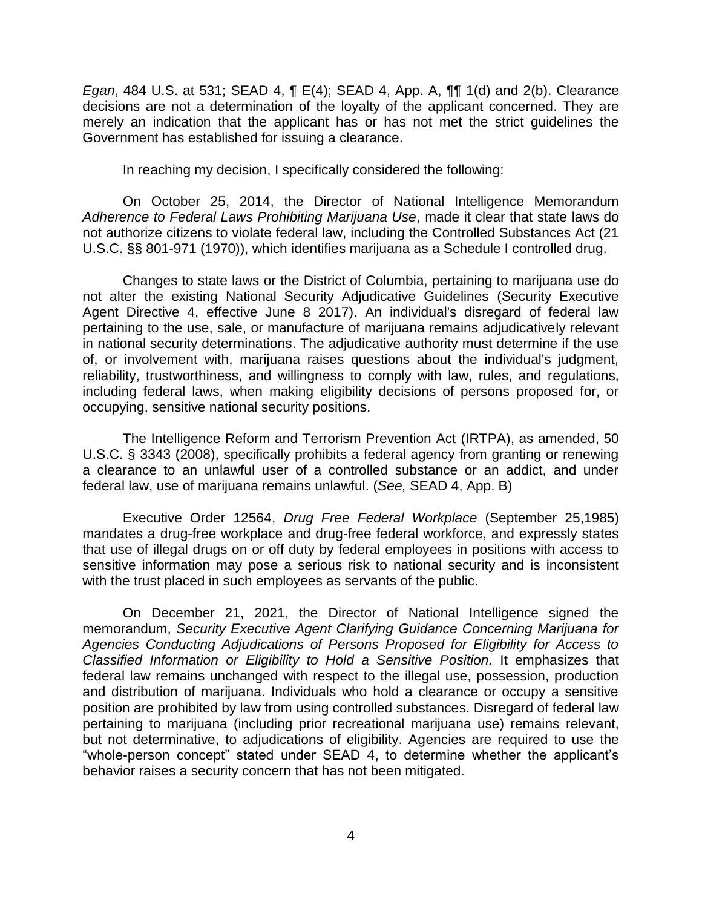*Egan*, 484 U.S. at 531; SEAD 4, ¶ E(4); SEAD 4, App. A, ¶¶ 1(d) and 2(b). Clearance decisions are not a determination of the loyalty of the applicant concerned. They are merely an indication that the applicant has or has not met the strict guidelines the Government has established for issuing a clearance.

In reaching my decision, I specifically considered the following:

On October 25, 2014, the Director of National Intelligence Memorandum *Adherence to Federal Laws Prohibiting Marijuana Use*, made it clear that state laws do not authorize citizens to violate federal law, including the Controlled Substances Act (21 U.S.C. §§ 801-971 (1970)), which identifies marijuana as a Schedule I controlled drug.

 Changes to state laws or the District of Columbia, pertaining to marijuana use do not alter the existing National Security Adjudicative Guidelines (Security Executive Agent Directive 4, effective June 8 2017). An individual's disregard of federal law pertaining to the use, sale, or manufacture of marijuana remains adjudicatively relevant in national security determinations. The adjudicative authority must determine if the use reliability, trustworthiness, and willingness to comply with law, rules, and regulations, including federal laws, when making eligibility decisions of persons proposed for, or of, or involvement with, marijuana raises questions about the individual's judgment, occupying, sensitive national security positions.

The Intelligence Reform and Terrorism Prevention Act (IRTPA), as amended, 50 U.S.C. § 3343 (2008), specifically prohibits a federal agency from granting or renewing a clearance to an unlawful user of a controlled substance or an addict, and under federal law, use of marijuana remains unlawful. (*See,* SEAD 4, App. B)

 Executive Order 12564, *Drug Free Federal Workplace* (September 25,1985) mandates a drug-free workplace and drug-free federal workforce, and expressly states that use of illegal drugs on or off duty by federal employees in positions with access to sensitive information may pose a serious risk to national security and is inconsistent with the trust placed in such employees as servants of the public.

 On December 21, 2021, the Director of National Intelligence signed the  memorandum, *Security Executive Agent Clarifying Guidance Concerning Marijuana for Classified Information or Eligibility to Hold a Sensitive Position.* It emphasizes that federal law remains unchanged with respect to the illegal use, possession, production and distribution of marijuana. Individuals who hold a clearance or occupy a sensitive position are prohibited by law from using controlled substances. Disregard of federal law pertaining to marijuana (including prior recreational marijuana use) remains relevant, but not determinative, to adjudications of eligibility. Agencies are required to use the "whole-person concept" stated under SEAD 4, to determine whether the applicant's *Agencies Conducting Adjudications of Persons Proposed for Eligibility for Access to*  behavior raises a security concern that has not been mitigated.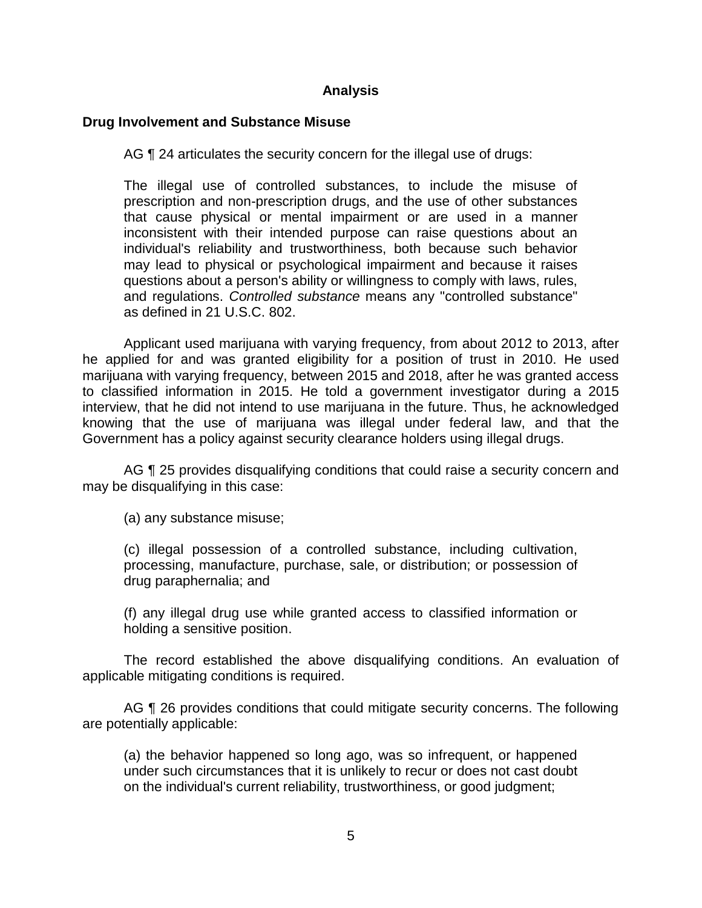## **Analysis**

### **Drug Involvement and Substance Misuse**

AG ¶ 24 articulates the security concern for the illegal use of drugs:

The illegal use of controlled substances, to include the misuse of prescription and non-prescription drugs, and the use of other substances that cause physical or mental impairment or are used in a manner inconsistent with their intended purpose can raise questions about an individual's reliability and trustworthiness, both because such behavior may lead to physical or psychological impairment and because it raises questions about a person's ability or willingness to comply with laws, rules, and regulations. *Controlled substance* means any "controlled substance" as defined in 21 U.S.C. 802.

 Applicant used marijuana with varying frequency, from about 2012 to 2013, after he applied for and was granted eligibility for a position of trust in 2010. He used to classified information in 2015. He told a government investigator during a 2015 interview, that he did not intend to use marijuana in the future. Thus, he acknowledged knowing that the use of marijuana was illegal under federal law, and that the marijuana with varying frequency, between 2015 and 2018, after he was granted access Government has a policy against security clearance holders using illegal drugs.

AG  $\P$  25 provides disqualifying conditions that could raise a security concern and may be disqualifying in this case:

(a) any substance misuse;

(c) illegal possession of a controlled substance, including cultivation, processing, manufacture, purchase, sale, or distribution; or possession of drug paraphernalia; and

(f) any illegal drug use while granted access to classified information or holding a sensitive position.

 The record established the above disqualifying conditions. An evaluation of applicable mitigating conditions is required.

AG ¶ 26 provides conditions that could mitigate security concerns. The following are potentially applicable:

 (a) the behavior happened so long ago, was so infrequent, or happened under such circumstances that it is unlikely to recur or does not cast doubt on the individual's current reliability, trustworthiness, or good judgment;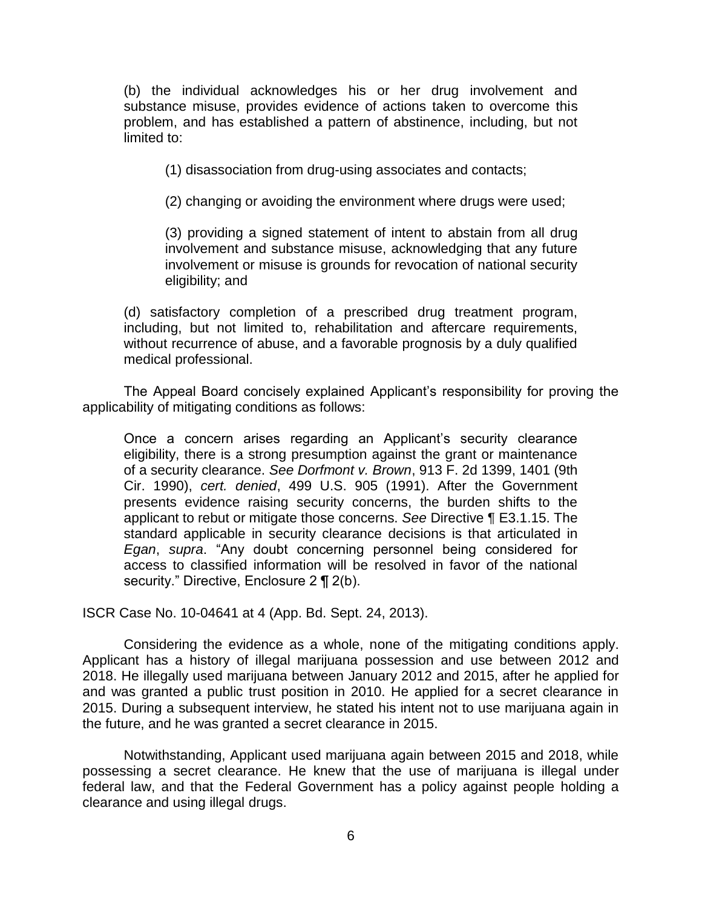(b) the individual acknowledges his or her drug involvement and substance misuse, provides evidence of actions taken to overcome this problem, and has established a pattern of abstinence, including, but not limited to:

(1) disassociation from drug-using associates and contacts;

(2) changing or avoiding the environment where drugs were used;

(3) providing a signed statement of intent to abstain from all drug involvement and substance misuse, acknowledging that any future involvement or misuse is grounds for revocation of national security eligibility; and

 (d) satisfactory completion of a prescribed drug treatment program, including, but not limited to, rehabilitation and aftercare requirements, without recurrence of abuse, and a favorable prognosis by a duly qualified medical professional.

The Appeal Board concisely explained Applicant's responsibility for proving the applicability of mitigating conditions as follows:

Once a concern arises regarding an Applicant's security clearance eligibility, there is a strong presumption against the grant or maintenance of a security clearance. *See Dorfmont v. Brown*, 913 F. 2d 1399, 1401 (9th Cir. 1990), *cert. denied*, 499 U.S. 905 (1991). After the Government presents evidence raising security concerns, the burden shifts to the applicant to rebut or mitigate those concerns. *See* Directive ¶ E3.1.15. The standard applicable in security clearance decisions is that articulated in *Egan*, *supra*. "Any doubt concerning personnel being considered for access to classified information will be resolved in favor of the national security." Directive, Enclosure 2 ¶ 2(b).

ISCR Case No. 10-04641 at 4 (App. Bd. Sept. 24, 2013).

 Considering the evidence as a whole, none of the mitigating conditions apply. Applicant has a history of illegal marijuana possession and use between 2012 and and was granted a public trust position in 2010. He applied for a secret clearance in 2015. During a subsequent interview, he stated his intent not to use marijuana again in the future, and he was granted a secret clearance in 2015. 2018. He illegally used marijuana between January 2012 and 2015, after he applied for

 Notwithstanding, Applicant used marijuana again between 2015 and 2018, while possessing a secret clearance. He knew that the use of marijuana is illegal under federal law, and that the Federal Government has a policy against people holding a clearance and using illegal drugs.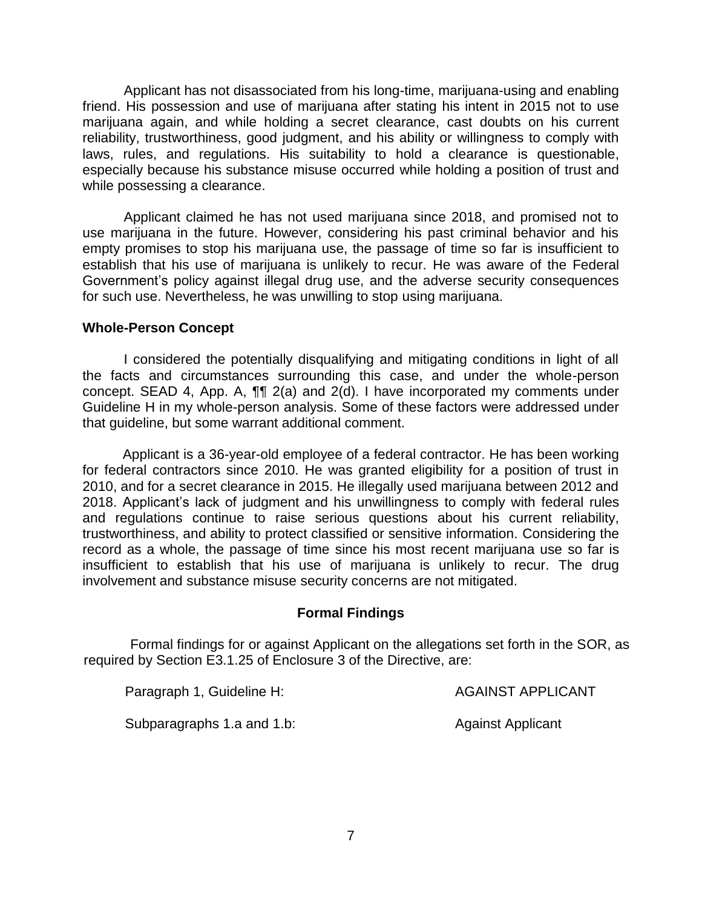Applicant has not disassociated from his long-time, marijuana-using and enabling friend. His possession and use of marijuana after stating his intent in 2015 not to use marijuana again, and while holding a secret clearance, cast doubts on his current reliability, trustworthiness, good judgment, and his ability or willingness to comply with laws, rules, and regulations. His suitability to hold a clearance is questionable, especially because his substance misuse occurred while holding a position of trust and while possessing a clearance.

 Applicant claimed he has not used marijuana since 2018, and promised not to use marijuana in the future. However, considering his past criminal behavior and his empty promises to stop his marijuana use, the passage of time so far is insufficient to establish that his use of marijuana is unlikely to recur. He was aware of the Federal Government's policy against illegal drug use, and the adverse security consequences for such use. Nevertheless, he was unwilling to stop using marijuana.

#### **Whole-Person Concept**

 I considered the potentially disqualifying and mitigating conditions in light of all the facts and circumstances surrounding this case, and under the whole-person concept. SEAD 4, App. A, ¶¶ 2(a) and 2(d). I have incorporated my comments under Guideline H in my whole-person analysis. Some of these factors were addressed under that guideline, but some warrant additional comment.

 Applicant is a 36-year-old employee of a federal contractor. He has been working for federal contractors since 2010. He was granted eligibility for a position of trust in 2010, and for a secret clearance in 2015. He illegally used marijuana between 2012 and 2018. Applicant's lack of judgment and his unwillingness to comply with federal rules trustworthiness, and ability to protect classified or sensitive information. Considering the record as a whole, the passage of time since his most recent marijuana use so far is insufficient to establish that his use of marijuana is unlikely to recur. The drug involvement and substance misuse security concerns are not mitigated. and regulations continue to raise serious questions about his current reliability,

#### **Formal Findings**

 Formal findings for or against Applicant on the allegations set forth in the SOR, as required by Section E3.1.25 of Enclosure 3 of the Directive, are:

| Paragraph 1, Guideline H: | <b>AGAINST APPLICANT</b> |
|---------------------------|--------------------------|
|                           |                          |

Subparagraphs 1.a and 1.b: Against Applicant

7